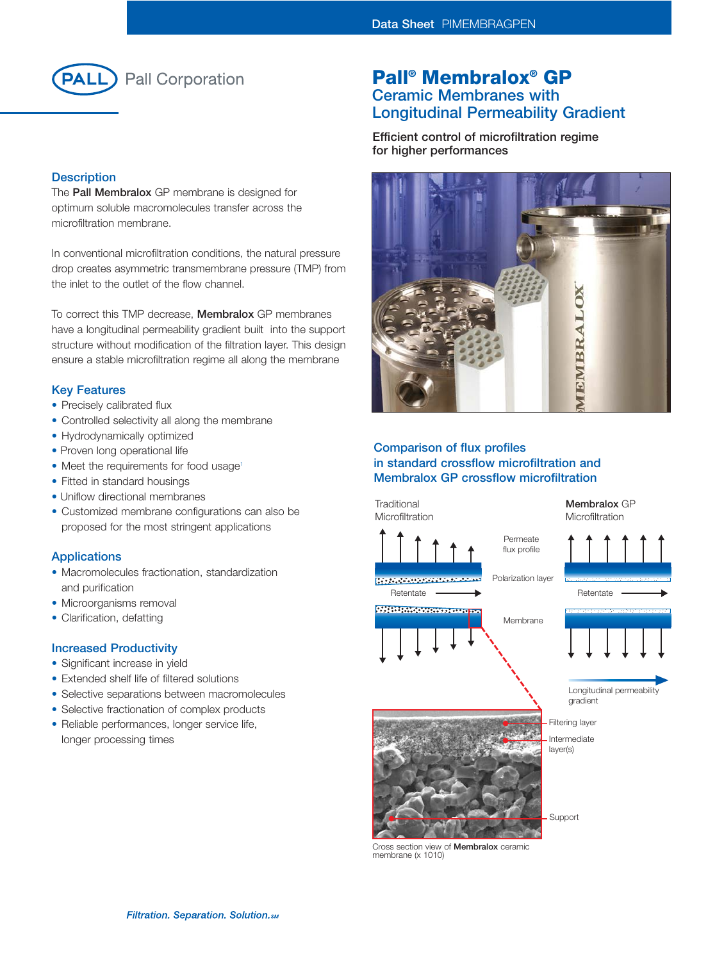

# **Description**

The **Pall Membralox** GP membrane is designed for optimum soluble macromolecules transfer across the microfiltration membrane.

In conventional microfiltration conditions, the natural pressure drop creates asymmetric transmembrane pressure (TMP) from the inlet to the outlet of the flow channel.

To correct this TMP decrease, **Membralox** GP membranes have a longitudinal permeability gradient built into the support structure without modification of the filtration layer. This design ensure a stable microfiltration regime all along the membrane

## **Key Features**

- Precisely calibrated flux
- Controlled selectivity all along the membrane
- Hydrodynamically optimized
- Proven long operational life
- Meet the requirements for food usage<sup>1</sup>
- Fitted in standard housings
- Uniflow directional membranes
- Customized membrane configurations can also be proposed for the most stringent applications

### **Applications**

- Macromolecules fractionation, standardization and purification
- Microorganisms removal
- Clarification, defatting

# **Increased Productivity**

- Significant increase in yield
- Extended shelf life of filtered solutions
- Selective separations between macromolecules
- Selective fractionation of complex products
- Reliable performances, longer service life, longer processing times

# **Pall® Membralox® GP Ceramic Membranes with Longitudinal Permeability Gradient**

**Efficient control of microfiltration regime for higher performances**



# **Comparison of flux profiles in standard crossflow microfiltration and Membralox GP crossflow microfiltration**



Cross section view of **Membralox** ceramic membrane (x 1010)